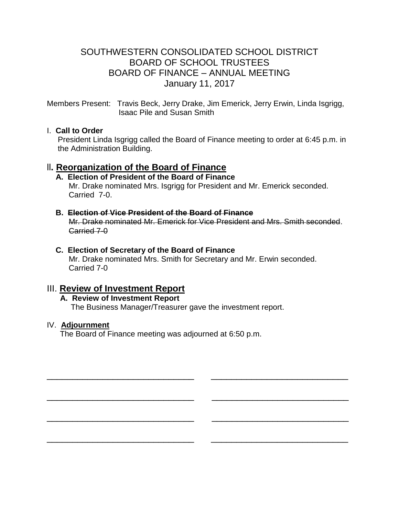# SOUTHWESTERN CONSOLIDATED SCHOOL DISTRICT BOARD OF SCHOOL TRUSTEES BOARD OF FINANCE – ANNUAL MEETING January 11, 2017

Members Present: Travis Beck, Jerry Drake, Jim Emerick, Jerry Erwin, Linda Isgrigg, Isaac Pile and Susan Smith

## I. **Call to Order**

President Linda Isgrigg called the Board of Finance meeting to order at 6:45 p.m. in the Administration Building.

# ll**. Reorganization of the Board of Finance**

#### **A. Election of President of the Board of Finance** Mr. Drake nominated Mrs. Isgrigg for President and Mr. Emerick seconded. Carried 7-0.

## **B. Election of Vice President of the Board of Finance**

Mr. Drake nominated Mr. Emerick for Vice President and Mrs. Smith seconded. Carried 7-0

## **C. Election of Secretary of the Board of Finance**

Mr. Drake nominated Mrs. Smith for Secretary and Mr. Erwin seconded. Carried 7-0

\_\_\_\_\_\_\_\_\_\_\_\_\_\_\_\_\_\_\_\_\_\_\_\_\_\_\_\_\_ \_\_\_\_\_\_\_\_\_\_\_\_\_\_\_\_\_\_\_\_\_\_\_\_\_\_\_

\_\_\_\_\_\_\_\_\_\_\_\_\_\_\_\_\_\_\_\_\_\_\_\_\_\_\_\_\_ \_\_\_\_\_\_\_\_\_\_\_\_\_\_\_\_\_\_\_\_\_\_\_\_\_\_\_

\_\_\_\_\_\_\_\_\_\_\_\_\_\_\_\_\_\_\_\_\_\_\_\_\_\_\_\_\_ \_\_\_\_\_\_\_\_\_\_\_\_\_\_\_\_\_\_\_\_\_\_\_\_\_\_\_

\_\_\_\_\_\_\_\_\_\_\_\_\_\_\_\_\_\_\_\_\_\_\_\_\_\_\_\_\_ \_\_\_\_\_\_\_\_\_\_\_\_\_\_\_\_\_\_\_\_\_\_\_\_\_\_\_

# III. **Review of Investment Report**

# **A. Review of Investment Report**

The Business Manager/Treasurer gave the investment report.

## IV. **Adjournment**

The Board of Finance meeting was adjourned at 6:50 p.m.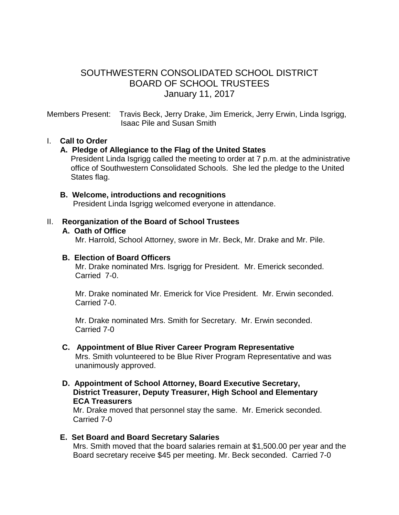# SOUTHWESTERN CONSOLIDATED SCHOOL DISTRICT BOARD OF SCHOOL TRUSTEES January 11, 2017

Members Present: Travis Beck, Jerry Drake, Jim Emerick, Jerry Erwin, Linda Isgrigg, Isaac Pile and Susan Smith

### I. **Call to Order**

### **A. Pledge of Allegiance to the Flag of the United States**

 President Linda Isgrigg called the meeting to order at 7 p.m. at the administrative office of Southwestern Consolidated Schools. She led the pledge to the United States flag.

#### **B. Welcome, introductions and recognitions**

President Linda Isgrigg welcomed everyone in attendance.

#### II. **Reorganization of the Board of School Trustees**

#### **A. Oath of Office**

Mr. Harrold, School Attorney, swore in Mr. Beck, Mr. Drake and Mr. Pile.

#### **B. Election of Board Officers**

Mr. Drake nominated Mrs. Isgrigg for President. Mr. Emerick seconded. Carried 7-0.

 Mr. Drake nominated Mr. Emerick for Vice President. Mr. Erwin seconded. Carried 7-0.

 Mr. Drake nominated Mrs. Smith for Secretary. Mr. Erwin seconded. Carried 7-0

- **C. Appointment of Blue River Career Program Representative** Mrs. Smith volunteered to be Blue River Program Representative and was unanimously approved.
- **D. Appointment of School Attorney, Board Executive Secretary, District Treasurer, Deputy Treasurer, High School and Elementary ECA Treasurers**

Mr. Drake moved that personnel stay the same. Mr. Emerick seconded. Carried 7-0

#### **E. Set Board and Board Secretary Salaries** Mrs. Smith moved that the board salaries remain at \$1,500.00 per year and the Board secretary receive \$45 per meeting. Mr. Beck seconded. Carried 7-0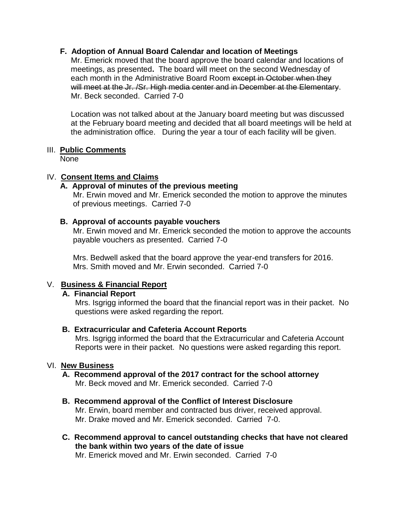### **F. Adoption of Annual Board Calendar and location of Meetings**

Mr. Emerick moved that the board approve the board calendar and locations of meetings, as presented**.** The board will meet on the second Wednesday of each month in the Administrative Board Room except in October when they will meet at the Jr. /Sr. High media center and in December at the Elementary. Mr. Beck seconded. Carried 7-0

Location was not talked about at the January board meeting but was discussed at the February board meeting and decided that all board meetings will be held at the administration office. During the year a tour of each facility will be given.

### III. **Public Comments**

None

### IV. **Consent Items and Claims**

# **A. Approval of minutes of the previous meeting**

 Mr. Erwin moved and Mr. Emerick seconded the motion to approve the minutes of previous meetings. Carried 7-0

### **B. Approval of accounts payable vouchers**

Mr. Erwin moved and Mr. Emerick seconded the motion to approve the accounts payable vouchers as presented. Carried 7-0

 Mrs. Bedwell asked that the board approve the year-end transfers for 2016. Mrs. Smith moved and Mr. Erwin seconded. Carried 7-0

## V. **Business & Financial Report**

## **A. Financial Report**

Mrs. Isgrigg informed the board that the financial report was in their packet. No questions were asked regarding the report.

#### **B. Extracurricular and Cafeteria Account Reports**

Mrs. Isgrigg informed the board that the Extracurricular and Cafeteria Account Reports were in their packet. No questions were asked regarding this report.

#### VI. **New Business**

#### **A. Recommend approval of the 2017 contract for the school attorney** Mr. Beck moved and Mr. Emerick seconded. Carried 7-0

#### **B. Recommend approval of the Conflict of Interest Disclosure**

Mr. Erwin, board member and contracted bus driver, received approval. Mr. Drake moved and Mr. Emerick seconded. Carried 7-0.

 **C. Recommend approval to cancel outstanding checks that have not cleared the bank within two years of the date of issue**

Mr. Emerick moved and Mr. Erwin seconded. Carried 7-0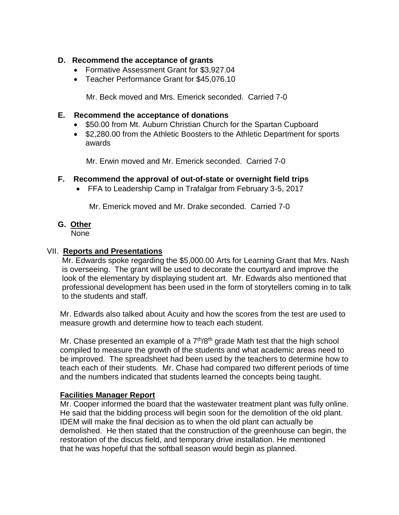## **D. Recommend the acceptance of grants**

- Formative Assessment Grant for \$3,927.04
- Teacher Performance Grant for \$45,076.10

Mr. Beck moved and Mrs. Emerick seconded. Carried 7-0

## **E. Recommend the acceptance of donations**

- \$50.00 from Mt. Auburn Christian Church for the Spartan Cupboard
- \$2,280.00 from the Athletic Boosters to the Athletic Department for sports awards

Mr. Erwin moved and Mr. Emerick seconded. Carried 7-0

## **F. Recommend the approval of out-of-state or overnight field trips**

FFA to Leadership Camp in Trafalgar from February 3-5, 2017

Mr. Emerick moved and Mr. Drake seconded. Carried 7-0

# **G. Other**

None

## VII. **Reports and Presentations**

 Mr. Edwards spoke regarding the \$5,000.00 Arts for Learning Grant that Mrs. Nash is overseeing. The grant will be used to decorate the courtyard and improve the look of the elementary by displaying student art. Mr. Edwards also mentioned that professional development has been used in the form of storytellers coming in to talk to the students and staff.

 Mr. Edwards also talked about Acuity and how the scores from the test are used to measure growth and determine how to teach each student.

Mr. Chase presented an example of a  $7<sup>th</sup>/8<sup>th</sup>$  grade Math test that the high school compiled to measure the growth of the students and what academic areas need to be improved. The spreadsheet had been used by the teachers to determine how to teach each of their students. Mr. Chase had compared two different periods of time and the numbers indicated that students learned the concepts being taught.

## **Facilities Manager Report**

 Mr. Cooper informed the board that the wastewater treatment plant was fully online. He said that the bidding process will begin soon for the demolition of the old plant. IDEM will make the final decision as to when the old plant can actually be demolished. He then stated that the construction of the greenhouse can begin, the restoration of the discus field, and temporary drive installation. He mentioned that he was hopeful that the softball season would begin as planned.